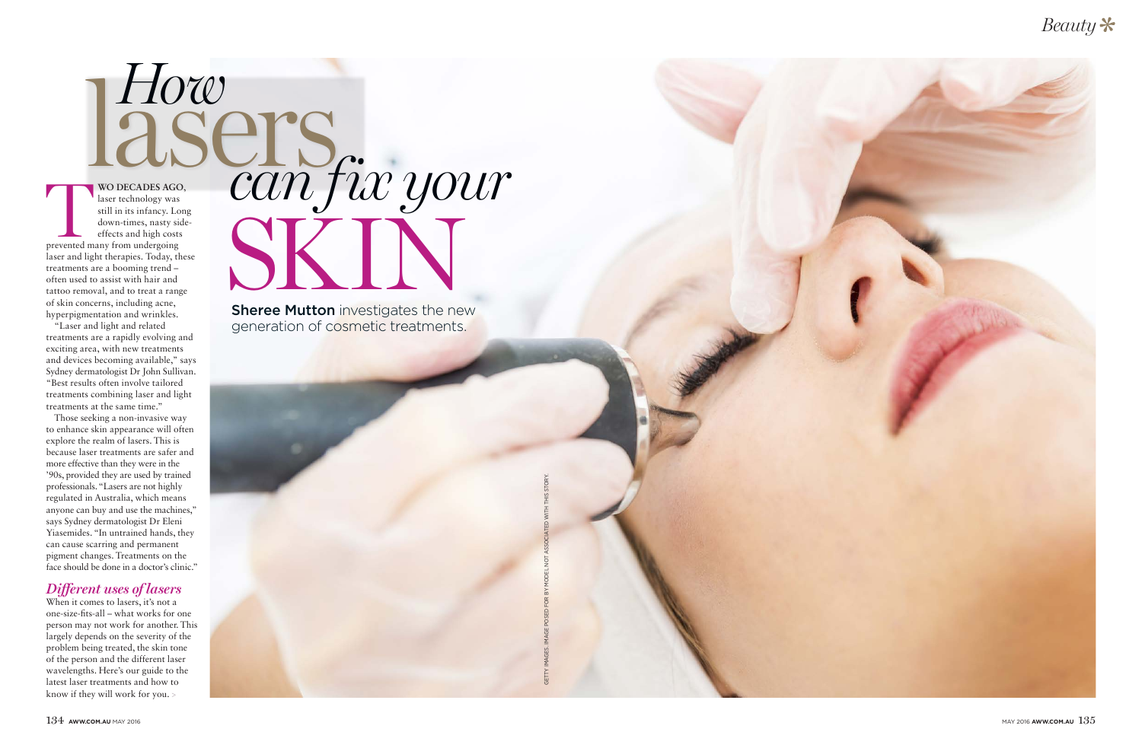How **lasers** *can fix your* **WO DECADES AGO,**<br>laser technology was<br>still in its infancy. Long<br>down-times, nasty side<br>effects and high costs<br>prevented many from undergoing laser technology was still in its infancy. Long down-times, nasty sideeffects and high costs prevented many from undergoing laser and light therapies. Today, these treatments are a booming trend – often used to assist with hair and tattoo removal, and to treat a range of skin concerns, including acne, hyperpigmentation and wrinkles.

"Laser and light and related treatments are a rapidly evolving and exciting area, with new treatments and devices becoming available," says Sydney dermatologist Dr John Sullivan. "Best results often involve tailored treatments combining laser and light treatments at the same time."

Those seeking a non-invasive way to enhance skin appearance will often explore the realm of lasers. This is because laser treatments are safer and more effective than they were in the '90s, provided they are used by trained professionals. "Lasers are not highly regulated in Australia, which means anyone can buy and use the machines," says Sydney dermatologist Dr Eleni Yiasemides. "In untrained hands, they can cause scarring and permanent pigment changes. Treatments on the face should be done in a doctor's clinic."

#### *Different uses of lasers*

When it comes to lasers, it's not a one-size-fits-all – what works for one person may not work for another. This largely depends on the severity of the problem being treated, the skin tone of the person and the different laser wavelengths. Here's our guide to the latest laser treatments and how to know if they will work for you. >

**Sheree Mutton investigates the new** generation of cosmetic treatments. SKIN





GETTY IMAGES. IMAGE POSED FOR BY MODEL NOT ASSOCIATED WITH THIS STORY.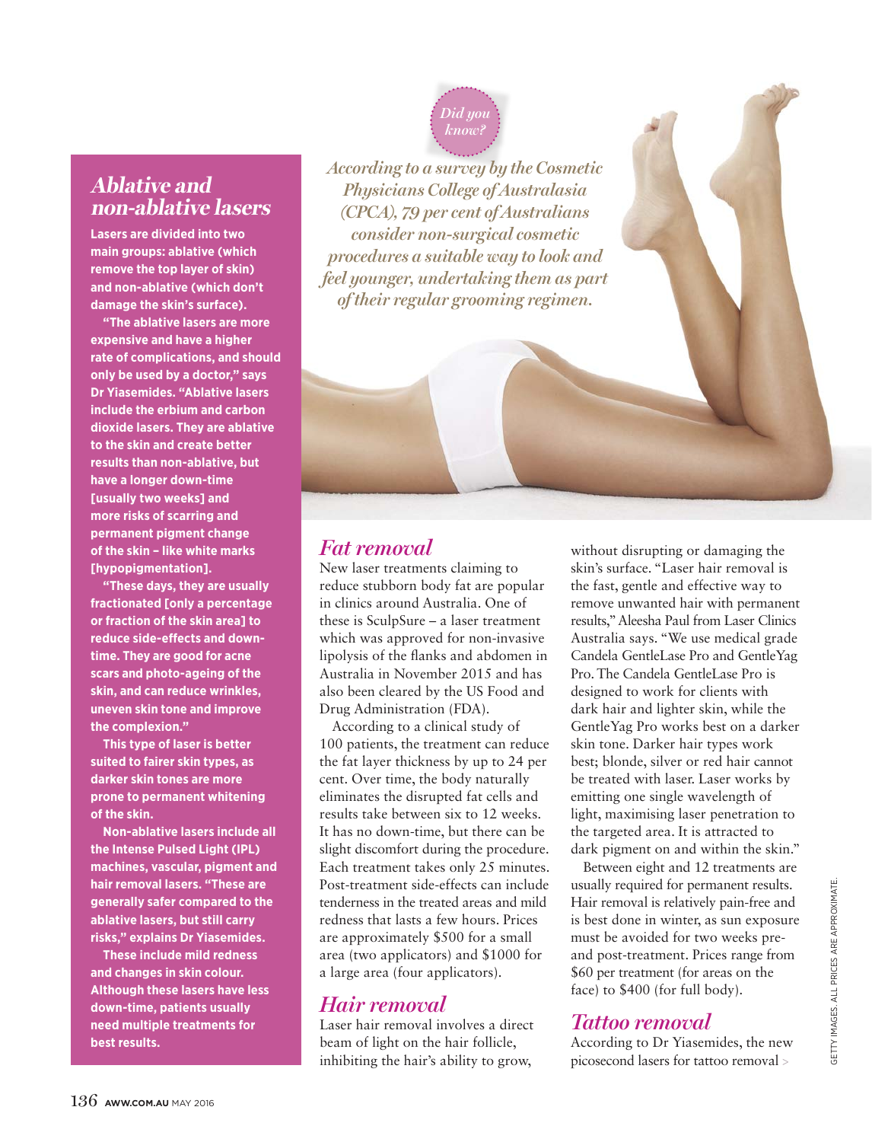# **Ablative and non-ablative lasers**

**Lasers are divided into two main groups: ablative (which remove the top layer of skin) and non-ablative (which don't damage the skin's surface).** 

**"The ablative lasers are more expensive and have a higher rate of complications, and should only be used by a doctor," says Dr Yiasemides. "Ablative lasers include the erbium and carbon dioxide lasers. They are ablative to the skin and create better results than non-ablative, but have a longer down-time [usually two weeks] and more risks of scarring and permanent pigment change of the skin – like white marks [hypopigmentation].** 

**"These days, they are usually fractionated [only a percentage or fraction of the skin area] to reduce side-effects and downtime. They are good for acne scars and photo-ageing of the skin, and can reduce wrinkles, uneven skin tone and improve the complexion."** 

**This type of laser is better suited to fairer skin types, as darker skin tones are more prone to permanent whitening of the skin.** 

**Non-ablative lasers include all the Intense Pulsed Light (IPL) machines, vascular, pigment and hair removal lasers. "These are generally safer compared to the ablative lasers, but still carry risks," explains Dr Yiasemides.** 

**These include mild redness and changes in skin colour. Although these lasers have less down-time, patients usually need multiple treatments for best results.** 

*Did you know?*

*According to a survey by the Cosmetic Physicians College of Australasia (CPCA), 79 per cent of Australians consider non-surgical cosmetic procedures a suitable way to look and feel younger, undertaking them as part of their regular grooming regimen.* 

# *Fat removal*

New laser treatments claiming to reduce stubborn body fat are popular in clinics around Australia. One of these is SculpSure – a laser treatment which was approved for non-invasive lipolysis of the flanks and abdomen in Australia in November 2015 and has also been cleared by the US Food and Drug Administration (FDA).

According to a clinical study of 100 patients, the treatment can reduce the fat layer thickness by up to 24 per cent. Over time, the body naturally eliminates the disrupted fat cells and results take between six to 12 weeks. It has no down-time, but there can be slight discomfort during the procedure. Each treatment takes only 25 minutes. Post-treatment side-effects can include tenderness in the treated areas and mild redness that lasts a few hours. Prices are approximately \$500 for a small area (two applicators) and \$1000 for a large area (four applicators).

# *Hair removal*

Laser hair removal involves a direct beam of light on the hair follicle, inhibiting the hair's ability to grow,

without disrupting or damaging the skin's surface. "Laser hair removal is the fast, gentle and effective way to remove unwanted hair with permanent results," Aleesha Paul from Laser Clinics Australia says. "We use medical grade Candela GentleLase Pro and GentleYag Pro. The Candela GentleLase Pro is designed to work for clients with dark hair and lighter skin, while the GentleYag Pro works best on a darker skin tone. Darker hair types work best; blonde, silver or red hair cannot be treated with laser. Laser works by emitting one single wavelength of light, maximising laser penetration to the targeted area. It is attracted to dark pigment on and within the skin."

Between eight and 12 treatments are usually required for permanent results. Hair removal is relatively pain-free and is best done in winter, as sun exposure must be avoided for two weeks preand post-treatment. Prices range from \$60 per treatment (for areas on the face) to \$400 (for full body).

### *Tattoo removal*

According to Dr Yiasemides, the new picosecond lasers for tattoo removal >